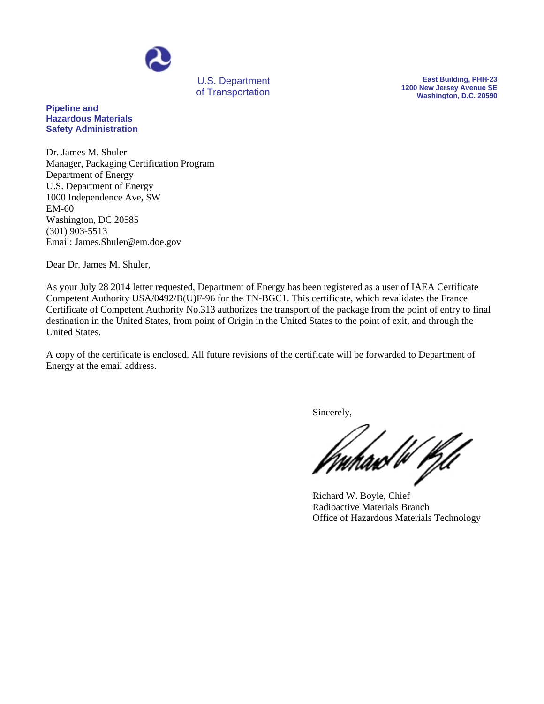

of Transportation

**East Building, PHH-23 1200 New Jersey Avenue SE Washington, D.C. 20590**

## **Pipeline and Hazardous Materials Safety Administration**

Dr. James M. Shuler Manager, Packaging Certification Program Department of Energy U.S. Department of Energy 1000 Independence Ave, SW EM-60 Washington, DC 20585 (301) 903-5513 Email: James.Shuler@em.doe.gov

Dear Dr. James M. Shuler,

As your July 28 2014 letter requested, Department of Energy has been registered as a user of IAEA Certificate Competent Authority USA/0492/B(U)F-96 for the TN-BGC1. This certificate, which revalidates the France Certificate of Competent Authority No.313 authorizes the transport of the package from the point of entry to final destination in the United States, from point of Origin in the United States to the point of exit, and through the United States.

A copy of the certificate is enclosed. All future revisions of the certificate will be forwarded to Department of Energy at the email address.

Sincerely,

uhaw W Pfd

Richard W. Boyle, Chief Radioactive Materials Branch Office of Hazardous Materials Technology